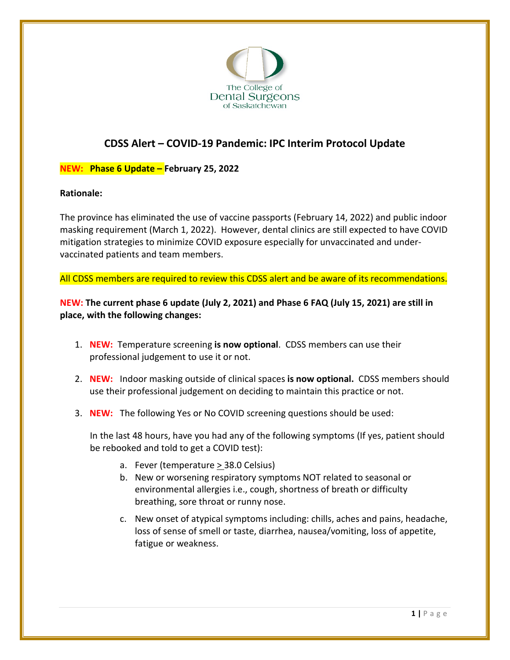

# **CDSS Alert – COVID-19 Pandemic: IPC Interim Protocol Update**

## **NEW: Phase 6 Update – February 25, 2022**

### **Rationale:**

The province has eliminated the use of vaccine passports (February 14, 2022) and public indoor masking requirement (March 1, 2022). However, dental clinics are still expected to have COVID mitigation strategies to minimize COVID exposure especially for unvaccinated and undervaccinated patients and team members.

All CDSS members are required to review this CDSS alert and be aware of its recommendations.

**NEW: The current phase 6 update (July 2, 2021) and Phase 6 FAQ (July 15, 2021) are still in place, with the following changes:**

- 1. **NEW:** Temperature screening **is now optional**. CDSS members can use their professional judgement to use it or not.
- 2. **NEW:** Indoor masking outside of clinical spaces **is now optional.** CDSS members should use their professional judgement on deciding to maintain this practice or not.
- 3. **NEW:** The following Yes or No COVID screening questions should be used:

In the last 48 hours, have you had any of the following symptoms (If yes, patient should be rebooked and told to get a COVID test):

- a. Fever (temperature > 38.0 Celsius)
- b. New or worsening respiratory symptoms NOT related to seasonal or environmental allergies i.e., cough, shortness of breath or difficulty breathing, sore throat or runny nose.
- c. New onset of atypical symptoms including: chills, aches and pains, headache, loss of sense of smell or taste, diarrhea, nausea/vomiting, loss of appetite, fatigue or weakness.